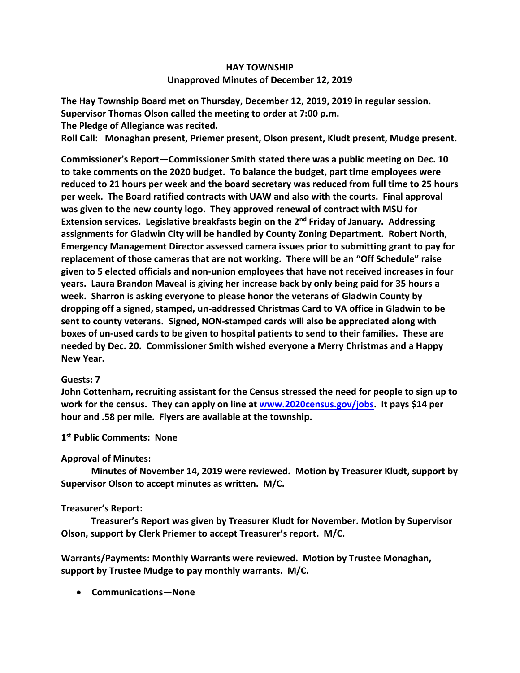# **HAY TOWNSHIP Unapproved Minutes of December 12, 2019**

**The Hay Township Board met on Thursday, December 12, 2019, 2019 in regular session. Supervisor Thomas Olson called the meeting to order at 7:00 p.m. The Pledge of Allegiance was recited.** 

**Roll Call: Monaghan present, Priemer present, Olson present, Kludt present, Mudge present.**

**Commissioner's Report—Commissioner Smith stated there was a public meeting on Dec. 10 to take comments on the 2020 budget. To balance the budget, part time employees were reduced to 21 hours per week and the board secretary was reduced from full time to 25 hours per week. The Board ratified contracts with UAW and also with the courts. Final approval was given to the new county logo. They approved renewal of contract with MSU for Extension services. Legislative breakfasts begin on the 2nd Friday of January. Addressing assignments for Gladwin City will be handled by County Zoning Department. Robert North, Emergency Management Director assessed camera issues prior to submitting grant to pay for replacement of those cameras that are not working. There will be an "Off Schedule" raise given to 5 elected officials and non-union employees that have not received increases in four years. Laura Brandon Maveal is giving her increase back by only being paid for 35 hours a week. Sharron is asking everyone to please honor the veterans of Gladwin County by dropping off a signed, stamped, un-addressed Christmas Card to VA office in Gladwin to be sent to county veterans. Signed, NON-stamped cards will also be appreciated along with boxes of un-used cards to be given to hospital patients to send to their families. These are needed by Dec. 20. Commissioner Smith wished everyone a Merry Christmas and a Happy New Year.**

#### **Guests: 7**

**John Cottenham, recruiting assistant for the Census stressed the need for people to sign up to work for the census. They can apply on line at [www.2020census.gov/jobs.](http://www.2020census.gov/jobs) It pays \$14 per hour and .58 per mile. Flyers are available at the township.**

### **1 st Public Comments: None**

## **Approval of Minutes:**

 **Minutes of November 14, 2019 were reviewed. Motion by Treasurer Kludt, support by Supervisor Olson to accept minutes as written. M/C.**

## **Treasurer's Report:**

 **Treasurer's Report was given by Treasurer Kludt for November. Motion by Supervisor Olson, support by Clerk Priemer to accept Treasurer's report. M/C.**

**Warrants/Payments: Monthly Warrants were reviewed. Motion by Trustee Monaghan, support by Trustee Mudge to pay monthly warrants. M/C.**

• **Communications—None**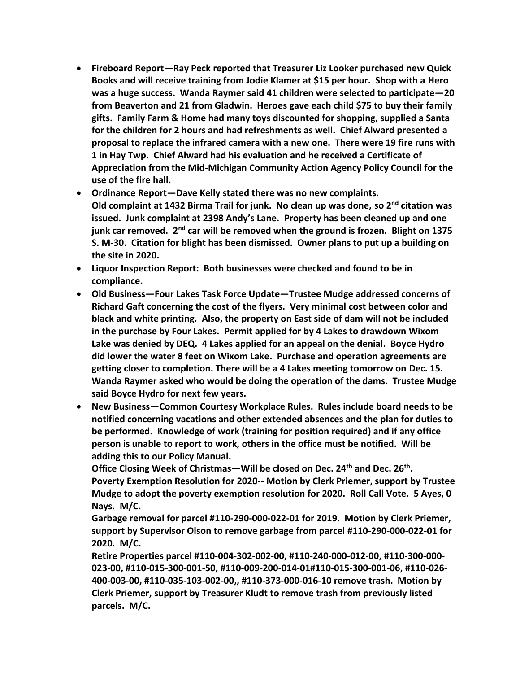- **Fireboard Report—Ray Peck reported that Treasurer Liz Looker purchased new Quick Books and will receive training from Jodie Klamer at \$15 per hour. Shop with a Hero was a huge success. Wanda Raymer said 41 children were selected to participate—20 from Beaverton and 21 from Gladwin. Heroes gave each child \$75 to buy their family gifts. Family Farm & Home had many toys discounted for shopping, supplied a Santa for the children for 2 hours and had refreshments as well. Chief Alward presented a proposal to replace the infrared camera with a new one. There were 19 fire runs with 1 in Hay Twp. Chief Alward had his evaluation and he received a Certificate of Appreciation from the Mid-Michigan Community Action Agency Policy Council for the use of the fire hall.**
- **Ordinance Report—Dave Kelly stated there was no new complaints. Old complaint at 1432 Birma Trail for junk. No clean up was done, so 2 nd citation was issued. Junk complaint at 2398 Andy's Lane. Property has been cleaned up and one junk car removed. 2nd car will be removed when the ground is frozen. Blight on 1375 S. M-30. Citation for blight has been dismissed. Owner plans to put up a building on the site in 2020.**
- **Liquor Inspection Report: Both businesses were checked and found to be in compliance.**
- **Old Business—Four Lakes Task Force Update—Trustee Mudge addressed concerns of Richard Gaft concerning the cost of the flyers. Very minimal cost between color and black and white printing. Also, the property on East side of dam will not be included in the purchase by Four Lakes. Permit applied for by 4 Lakes to drawdown Wixom Lake was denied by DEQ. 4 Lakes applied for an appeal on the denial. Boyce Hydro did lower the water 8 feet on Wixom Lake. Purchase and operation agreements are getting closer to completion. There will be a 4 Lakes meeting tomorrow on Dec. 15. Wanda Raymer asked who would be doing the operation of the dams. Trustee Mudge said Boyce Hydro for next few years.**
- **New Business—Common Courtesy Workplace Rules. Rules include board needs to be notified concerning vacations and other extended absences and the plan for duties to be performed. Knowledge of work (training for position required) and if any office person is unable to report to work, others in the office must be notified. Will be adding this to our Policy Manual.**

**Office Closing Week of Christmas—Will be closed on Dec. 24th and Dec. 26th . Poverty Exemption Resolution for 2020-- Motion by Clerk Priemer, support by Trustee Mudge to adopt the poverty exemption resolution for 2020. Roll Call Vote. 5 Ayes, 0 Nays. M/C.**

**Garbage removal for parcel #110-290-000-022-01 for 2019. Motion by Clerk Priemer, support by Supervisor Olson to remove garbage from parcel #110-290-000-022-01 for 2020. M/C.**

**Retire Properties parcel #110-004-302-002-00, #110-240-000-012-00, #110-300-000- 023-00, #110-015-300-001-50, #110-009-200-014-01#110-015-300-001-06, #110-026- 400-003-00, #110-035-103-002-00,, #110-373-000-016-10 remove trash. Motion by Clerk Priemer, support by Treasurer Kludt to remove trash from previously listed parcels. M/C.**